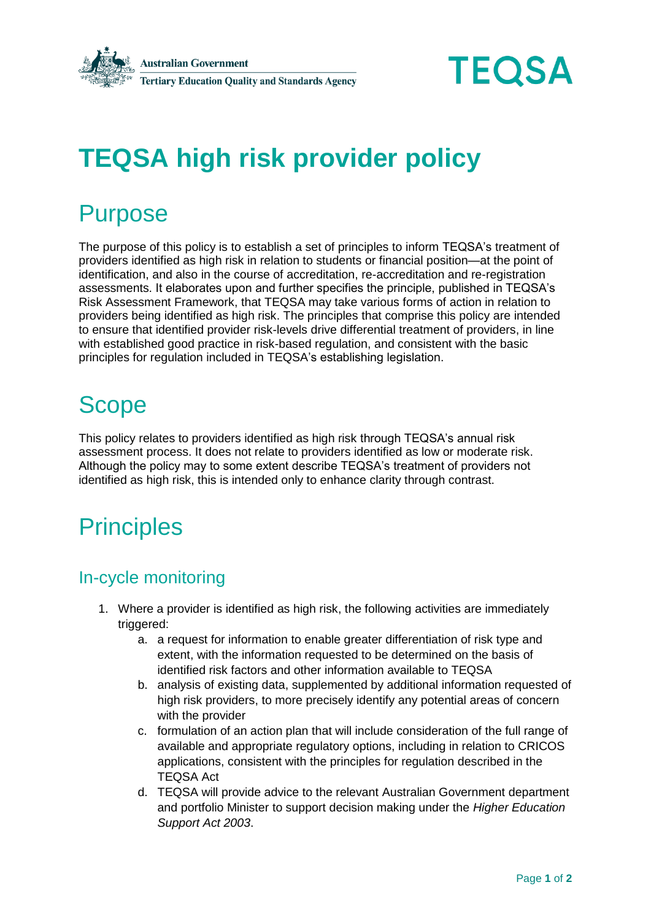



# **TEQSA high risk provider policy**

### **Purpose**

The purpose of this policy is to establish a set of principles to inform TEQSA's treatment of providers identified as high risk in relation to students or financial position—at the point of identification, and also in the course of accreditation, re-accreditation and re-registration assessments. It elaborates upon and further specifies the principle, published in TEQSA's Risk Assessment Framework, that TEQSA may take various forms of action in relation to providers being identified as high risk. The principles that comprise this policy are intended to ensure that identified provider risk-levels drive differential treatment of providers, in line with established good practice in risk-based regulation, and consistent with the basic principles for regulation included in TEQSA's establishing legislation.

# **Scope**

This policy relates to providers identified as high risk through TEQSA's annual risk assessment process. It does not relate to providers identified as low or moderate risk. Although the policy may to some extent describe TEQSA's treatment of providers not identified as high risk, this is intended only to enhance clarity through contrast.

## **Principles**

#### In-cycle monitoring

- 1. Where a provider is identified as high risk, the following activities are immediately triggered:
	- a. a request for information to enable greater differentiation of risk type and extent, with the information requested to be determined on the basis of identified risk factors and other information available to TEQSA
	- b. analysis of existing data, supplemented by additional information requested of high risk providers, to more precisely identify any potential areas of concern with the provider
	- c. formulation of an action plan that will include consideration of the full range of available and appropriate regulatory options, including in relation to CRICOS applications, consistent with the principles for regulation described in the TEQSA Act
	- d. TEQSA will provide advice to the relevant Australian Government department and portfolio Minister to support decision making under the *Higher Education Support Act 2003*.